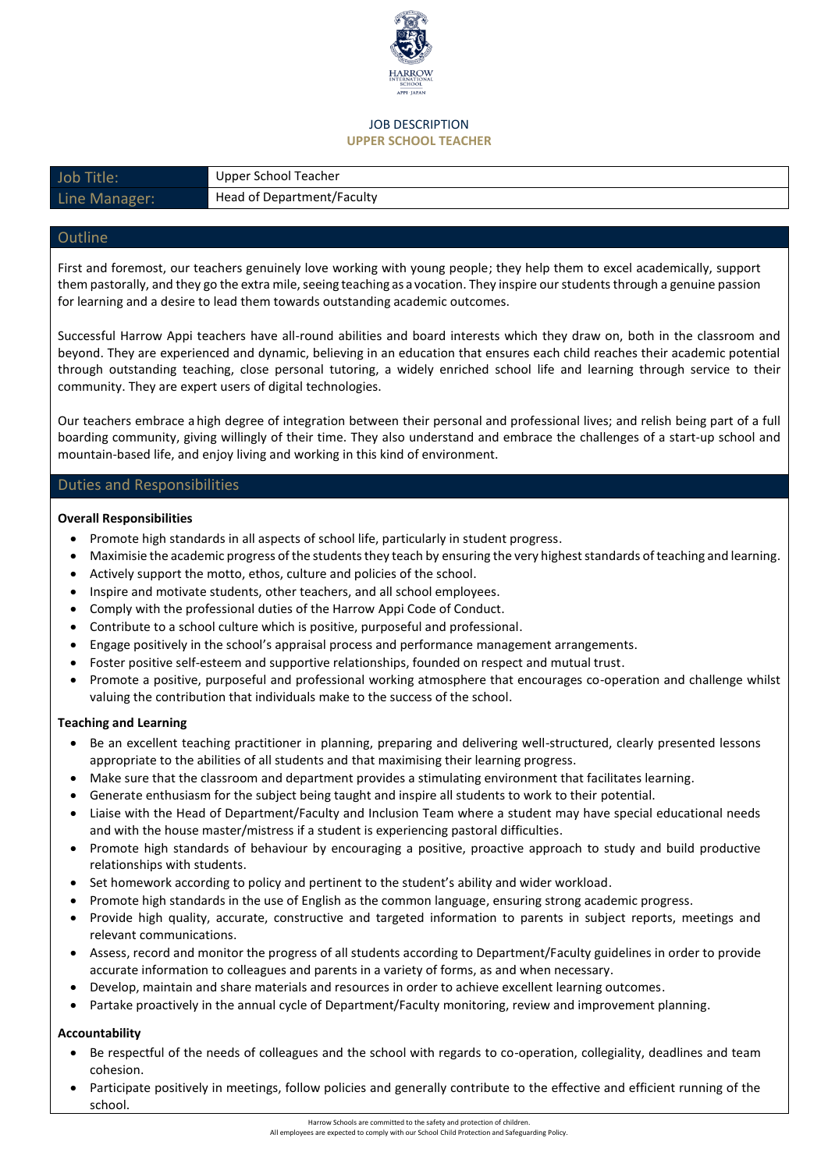

#### JOB DESCRIPTION **UPPER SCHOOL TEACHER**

| Job Title:    | Upper School Teacher       |
|---------------|----------------------------|
| Line Manager: | Head of Department/Faculty |

# **Outline**

First and foremost, our teachers genuinely love working with young people; they help them to excel academically, support them pastorally, and they go the extra mile, seeing teaching as a vocation. They inspire our students through a genuine passion for learning and a desire to lead them towards outstanding academic outcomes.

Successful Harrow Appi teachers have all-round abilities and board interests which they draw on, both in the classroom and beyond. They are experienced and dynamic, believing in an education that ensures each child reaches their academic potential through outstanding teaching, close personal tutoring, a widely enriched school life and learning through service to their community. They are expert users of digital technologies.

Our teachers embrace a high degree of integration between their personal and professional lives; and relish being part of a full boarding community, giving willingly of their time. They also understand and embrace the challenges of a start-up school and mountain-based life, and enjoy living and working in this kind of environment.

# Duties and Responsibilities

### **Overall Responsibilities**

- Promote high standards in all aspects of school life, particularly in student progress.
- Maximisie the academic progress of the students they teach by ensuring the very highest standards of teaching and learning.
- Actively support the motto, ethos, culture and policies of the school.
- Inspire and motivate students, other teachers, and all school employees.
- Comply with the professional duties of the Harrow Appi Code of Conduct.
- Contribute to a school culture which is positive, purposeful and professional.
- Engage positively in the school's appraisal process and performance management arrangements.
- Foster positive self-esteem and supportive relationships, founded on respect and mutual trust.
- Promote a positive, purposeful and professional working atmosphere that encourages co-operation and challenge whilst valuing the contribution that individuals make to the success of the school.

### **Teaching and Learning**

- Be an excellent teaching practitioner in planning, preparing and delivering well-structured, clearly presented lessons appropriate to the abilities of all students and that maximising their learning progress.
- Make sure that the classroom and department provides a stimulating environment that facilitates learning.
- Generate enthusiasm for the subject being taught and inspire all students to work to their potential.
- Liaise with the Head of Department/Faculty and Inclusion Team where a student may have special educational needs and with the house master/mistress if a student is experiencing pastoral difficulties.
- Promote high standards of behaviour by encouraging a positive, proactive approach to study and build productive relationships with students.
- Set homework according to policy and pertinent to the student's ability and wider workload.
- Promote high standards in the use of English as the common language, ensuring strong academic progress.
- Provide high quality, accurate, constructive and targeted information to parents in subject reports, meetings and relevant communications.
- Assess, record and monitor the progress of all students according to Department/Faculty guidelines in order to provide accurate information to colleagues and parents in a variety of forms, as and when necessary.
- Develop, maintain and share materials and resources in order to achieve excellent learning outcomes.
- Partake proactively in the annual cycle of Department/Faculty monitoring, review and improvement planning.

### **Accountability**

- Be respectful of the needs of colleagues and the school with regards to co-operation, collegiality, deadlines and team cohesion.
- Participate positively in meetings, follow policies and generally contribute to the effective and efficient running of the school.